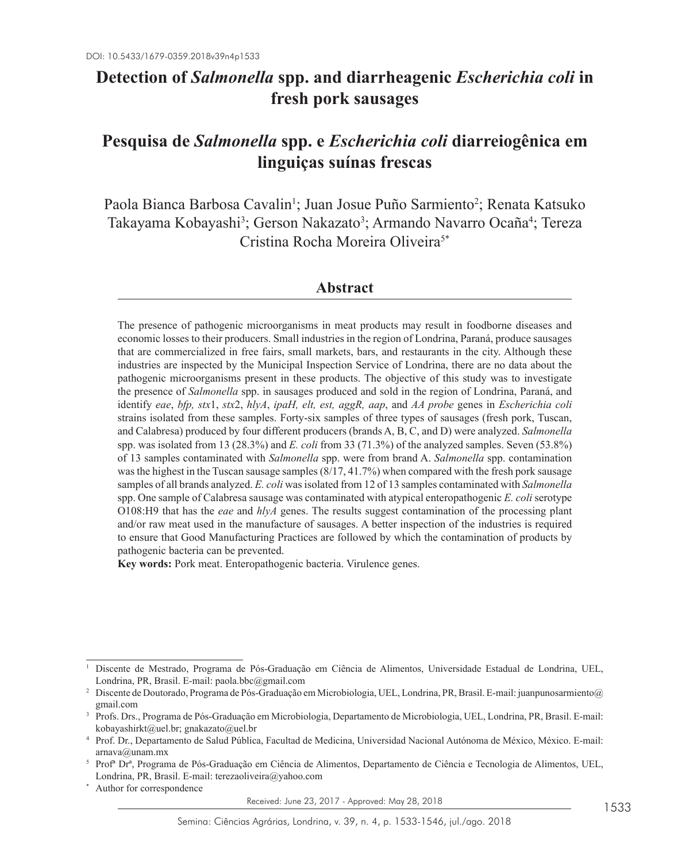# **Detection of** *Salmonella* **spp. and diarrheagenic** *Escherichia coli* **in fresh pork sausages**

# **Pesquisa de** *Salmonella* **spp. e** *Escherichia coli* **diarreiogênica em linguiças suínas frescas**

Paola Bianca Barbosa Cavalin<sup>1</sup>; Juan Josue Puño Sarmiento<sup>2</sup>; Renata Katsuko Takayama Kobayashi<sup>3</sup>; Gerson Nakazato<sup>3</sup>; Armando Navarro Ocaña<sup>4</sup>; Tereza Cristina Rocha Moreira Oliveira<sup>5\*</sup>

## **Abstract**

The presence of pathogenic microorganisms in meat products may result in foodborne diseases and economic losses to their producers. Small industries in the region of Londrina, Paraná, produce sausages that are commercialized in free fairs, small markets, bars, and restaurants in the city. Although these industries are inspected by the Municipal Inspection Service of Londrina, there are no data about the pathogenic microorganisms present in these products. The objective of this study was to investigate the presence of *Salmonella* spp. in sausages produced and sold in the region of Londrina, Paraná, and identify *eae*, *bfp, stx*1, *stx*2, *hlyA*, *ipaH, elt, est, aggR, aap*, and *AA probe* genes in *Escherichia coli* strains isolated from these samples. Forty-six samples of three types of sausages (fresh pork, Tuscan, and Calabresa) produced by four different producers (brands A, B, C, and D) were analyzed. *Salmonella* spp. was isolated from 13 (28.3%) and *E. coli* from 33 (71.3%) of the analyzed samples. Seven (53.8%) of 13 samples contaminated with *Salmonella* spp. were from brand A. *Salmonella* spp. contamination was the highest in the Tuscan sausage samples (8/17, 41.7%) when compared with the fresh pork sausage samples of all brands analyzed. *E. coli* was isolated from 12 of 13 samples contaminated with *Salmonella* spp. One sample of Calabresa sausage was contaminated with atypical enteropathogenic *E. coli* serotype O108:H9 that has the *eae* and *hlyA* genes. The results suggest contamination of the processing plant and/or raw meat used in the manufacture of sausages. A better inspection of the industries is required to ensure that Good Manufacturing Practices are followed by which the contamination of products by pathogenic bacteria can be prevented.

**Key words:** Pork meat. Enteropathogenic bacteria. Virulence genes.

Received: June 23, 2017 - Approved: May 28, 2018

<sup>1</sup> Discente de Mestrado, Programa de Pós-Graduação em Ciência de Alimentos, Universidade Estadual de Londrina, UEL, Londrina, PR, Brasil. E-mail: paola.bbc@gmail.com

<sup>2</sup> Discente de Doutorado, Programa de Pós-Graduação em Microbiologia, UEL, Londrina, PR, Brasil. E-mail: juanpunosarmiento@ gmail.com

<sup>3</sup> Profs. Drs., Programa de Pós-Graduação em Microbiologia, Departamento de Microbiologia, UEL, Londrina, PR, Brasil. E-mail: kobayashirkt@uel.br; gnakazato@uel.br

<sup>4</sup> Prof. Dr., Departamento de Salud Pública, Facultad de Medicina, Universidad Nacional Autónoma de México, México. E-mail:  $arnava@$ unam.mx

<sup>5</sup> Profª Drª, Programa de Pós-Graduação em Ciência de Alimentos, Departamento de Ciência e Tecnologia de Alimentos, UEL, Londrina, PR, Brasil. E-mail: terezaoliveira@yahoo.com

Author for correspondence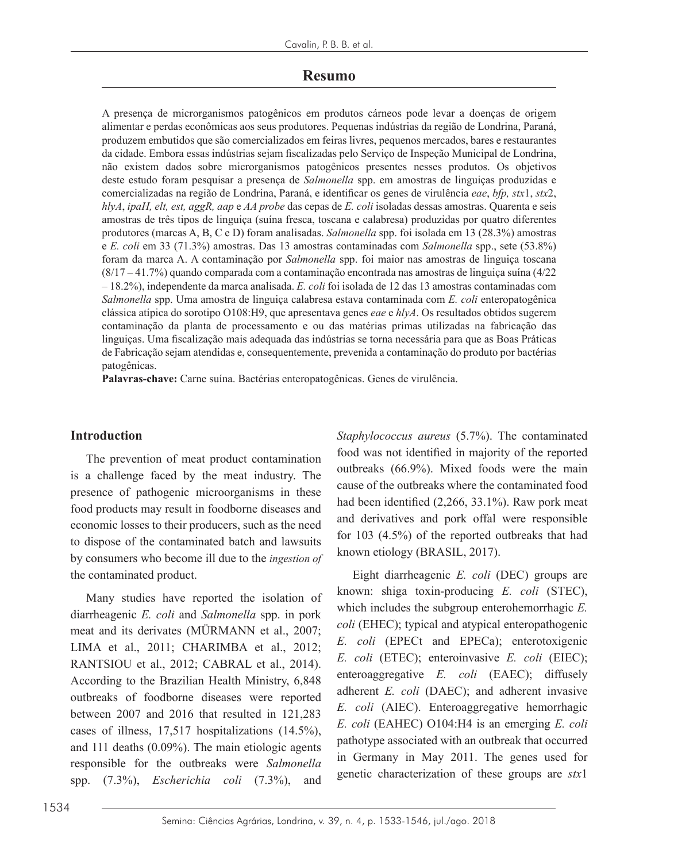## **Resumo**

A presença de microrganismos patogênicos em produtos cárneos pode levar a doenças de origem alimentar e perdas econômicas aos seus produtores. Pequenas indústrias da região de Londrina, Paraná, produzem embutidos que são comercializados em feiras livres, pequenos mercados, bares e restaurantes da cidade. Embora essas indústrias sejam fiscalizadas pelo Serviço de Inspeção Municipal de Londrina, não existem dados sobre microrganismos patogênicos presentes nesses produtos. Os objetivos deste estudo foram pesquisar a presença de *Salmonella* spp. em amostras de linguiças produzidas e comercializadas na região de Londrina, Paraná, e identificar os genes de virulência *eae*, *bfp, stx*1, *stx*2, *hlyA*, *ipaH, elt, est, aggR, aap* e *AA probe* das cepas de *E. coli* isoladas dessas amostras. Quarenta e seis amostras de três tipos de linguiça (suína fresca, toscana e calabresa) produzidas por quatro diferentes produtores (marcas A, B, C e D) foram analisadas. *Salmonella* spp. foi isolada em 13 (28.3%) amostras e *E. coli* em 33 (71.3%) amostras. Das 13 amostras contaminadas com *Salmonella* spp., sete (53.8%) foram da marca A. A contaminação por *Salmonella* spp. foi maior nas amostras de linguiça toscana (8/17 – 41.7%) quando comparada com a contaminação encontrada nas amostras de linguiça suína (4/22 – 18.2%), independente da marca analisada. *E. coli* foi isolada de 12 das 13 amostras contaminadas com *Salmonella* spp. Uma amostra de linguiça calabresa estava contaminada com *E. coli* enteropatogênica clássica atípica do sorotipo O108:H9, que apresentava genes *eae* e *hlyA*. Os resultados obtidos sugerem contaminação da planta de processamento e ou das matérias primas utilizadas na fabricação das linguiças. Uma fiscalização mais adequada das indústrias se torna necessária para que as Boas Práticas de Fabricação sejam atendidas e, consequentemente, prevenida a contaminação do produto por bactérias patogênicas.

**Palavras-chave:** Carne suína. Bactérias enteropatogênicas. Genes de virulência.

#### **Introduction**

The prevention of meat product contamination is a challenge faced by the meat industry. The presence of pathogenic microorganisms in these food products may result in foodborne diseases and economic losses to their producers, such as the need to dispose of the contaminated batch and lawsuits by consumers who become ill due to the *ingestion of*  the contaminated product.

Many studies have reported the isolation of diarrheagenic *E. coli* and *Salmonella* spp. in pork meat and its derivates (MÜRMANN et al., 2007; LIMA et al., 2011; CHARIMBA et al., 2012; RANTSIOU et al., 2012; CABRAL et al., 2014). According to the Brazilian Health Ministry, 6,848 outbreaks of foodborne diseases were reported between 2007 and 2016 that resulted in 121,283 cases of illness, 17,517 hospitalizations (14.5%), and 111 deaths (0.09%). The main etiologic agents responsible for the outbreaks were *Salmonella* spp. (7.3%), *Escherichia coli* (7.3%), and

*Staphylococcus aureus* (5.7%). The contaminated food was not identified in majority of the reported outbreaks (66.9%). Mixed foods were the main cause of the outbreaks where the contaminated food had been identified (2,266, 33.1%). Raw pork meat and derivatives and pork offal were responsible for 103 (4.5%) of the reported outbreaks that had known etiology (BRASIL, 2017).

Eight diarrheagenic *E. coli* (DEC) groups are known: shiga toxin-producing *E. coli* (STEC), which includes the subgroup enterohemorrhagic *E. coli* (EHEC); typical and atypical enteropathogenic *E. coli* (EPECt and EPECa); enterotoxigenic *E. coli* (ETEC); enteroinvasive *E. coli* (EIEC); enteroaggregative *E. coli* (EAEC); diffusely adherent *E. coli* (DAEC); and adherent invasive *E. coli* (AIEC). Enteroaggregative hemorrhagic *E. coli* (EAHEC) O104:H4 is an emerging *E. coli* pathotype associated with an outbreak that occurred in Germany in May 2011. The genes used for genetic characterization of these groups are *stx*1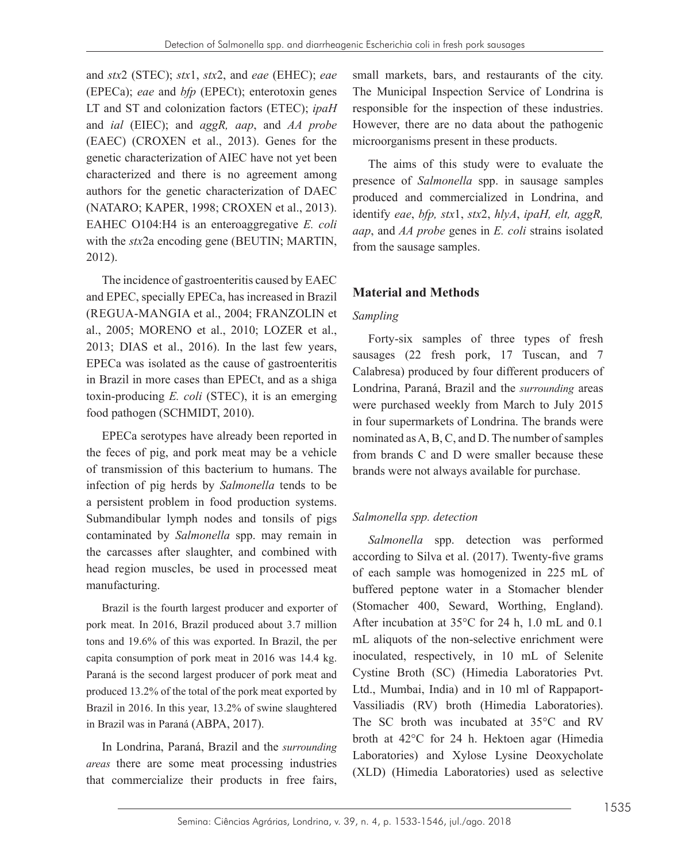and *stx*2 (STEC); *stx*1, *stx*2, and *eae* (EHEC); *eae* (EPECa); *eae* and *bfp* (EPECt); enterotoxin genes LT and ST and colonization factors (ETEC); *ipaH* and *ial* (EIEC); and *aggR, aap*, and *AA probe* (EAEC) (CROXEN et al., 2013). Genes for the genetic characterization of AIEC have not yet been characterized and there is no agreement among authors for the genetic characterization of DAEC (NATARO; KAPER, 1998; CROXEN et al., 2013). EAHEC O104:H4 is an enteroaggregative *E. coli* with the *stx*2a encoding gene (BEUTIN; MARTIN, 2012).

The incidence of gastroenteritis caused by EAEC and EPEC, specially EPECa, has increased in Brazil (REGUA-MANGIA et al., 2004; FRANZOLIN et al., 2005; MORENO et al., 2010; LOZER et al., 2013; DIAS et al., 2016). In the last few years, EPECa was isolated as the cause of gastroenteritis in Brazil in more cases than EPECt, and as a shiga toxin-producing *E. coli* (STEC), it is an emerging food pathogen (SCHMIDT, 2010).

EPECa serotypes have already been reported in the feces of pig, and pork meat may be a vehicle of transmission of this bacterium to humans. The infection of pig herds by *Salmonella* tends to be a persistent problem in food production systems. Submandibular lymph nodes and tonsils of pigs contaminated by *Salmonella* spp. may remain in the carcasses after slaughter, and combined with head region muscles, be used in processed meat manufacturing.

Brazil is the fourth largest producer and exporter of pork meat. In 2016, Brazil produced about 3.7 million tons and 19.6% of this was exported. In Brazil, the per capita consumption of pork meat in 2016 was 14.4 kg. Paraná is the second largest producer of pork meat and produced 13.2% of the total of the pork meat exported by Brazil in 2016. In this year, 13.2% of swine slaughtered in Brazil was in Paraná (ABPA, 2017).

In Londrina, Paraná, Brazil and the *surrounding areas* there are some meat processing industries that commercialize their products in free fairs, small markets, bars, and restaurants of the city. The Municipal Inspection Service of Londrina is responsible for the inspection of these industries. However, there are no data about the pathogenic microorganisms present in these products.

The aims of this study were to evaluate the presence of *Salmonella* spp. in sausage samples produced and commercialized in Londrina, and identify *eae*, *bfp, stx*1, *stx*2, *hlyA*, *ipaH, elt, aggR, aap*, and *AA probe* genes in *E. coli* strains isolated from the sausage samples.

# **Material and Methods**

## *Sampling*

Forty-six samples of three types of fresh sausages (22 fresh pork, 17 Tuscan, and 7 Calabresa) produced by four different producers of Londrina, Paraná, Brazil and the *surrounding* areas were purchased weekly from March to July 2015 in four supermarkets of Londrina. The brands were nominated as A, B, C, and D. The number of samples from brands C and D were smaller because these brands were not always available for purchase.

## *Salmonella spp. detection*

*Salmonella* spp. detection was performed according to Silva et al. (2017). Twenty-five grams of each sample was homogenized in 225 mL of buffered peptone water in a Stomacher blender (Stomacher 400, Seward, Worthing, England). After incubation at 35°C for 24 h, 1.0 mL and 0.1 mL aliquots of the non-selective enrichment were inoculated, respectively, in 10 mL of Selenite Cystine Broth (SC) (Himedia Laboratories Pvt. Ltd., Mumbai, India) and in 10 ml of Rappaport-Vassiliadis (RV) broth (Himedia Laboratories). The SC broth was incubated at 35°C and RV broth at 42°C for 24 h. Hektoen agar (Himedia Laboratories) and Xylose Lysine Deoxycholate (XLD) (Himedia Laboratories) used as selective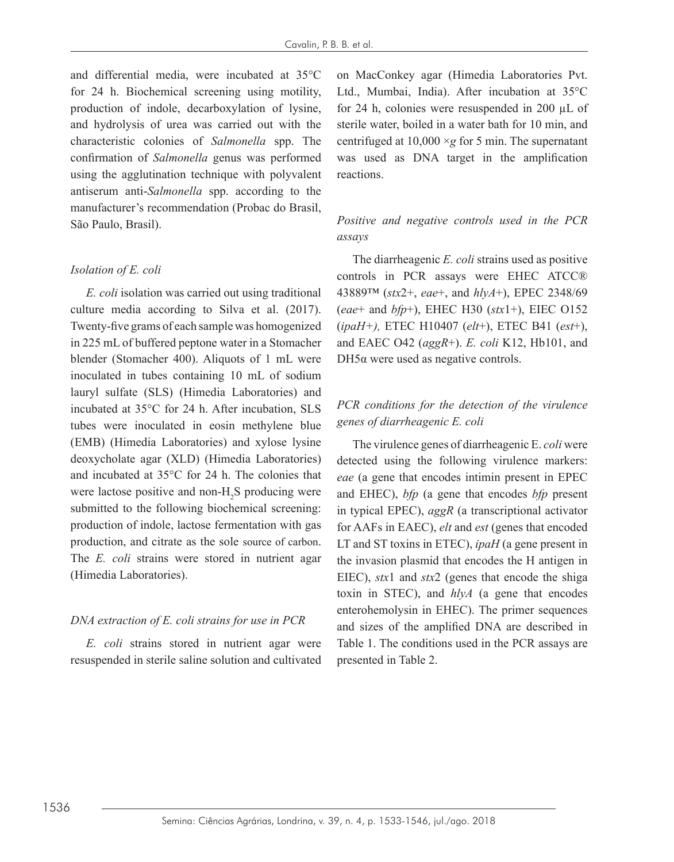and differential media, were incubated at 35°C for 24 h. Biochemical screening using motility, production of indole, decarboxylation of lysine, and hydrolysis of urea was carried out with the characteristic colonies of *Salmonella* spp. The confirmation of *Salmonella* genus was performed using the agglutination technique with polyvalent antiserum anti-*Salmonella* spp. according to the manufacturer's recommendation (Probac do Brasil, São Paulo, Brasil).

#### *Isolation of E. coli*

*E. coli* isolation was carried out using traditional culture media according to Silva et al. (2017). Twenty-five grams of each sample was homogenized in 225 mL of buffered peptone water in a Stomacher blender (Stomacher 400). Aliquots of 1 mL were inoculated in tubes containing 10 mL of sodium lauryl sulfate (SLS) (Himedia Laboratories) and incubated at 35°C for 24 h. After incubation, SLS tubes were inoculated in eosin methylene blue (EMB) (Himedia Laboratories) and xylose lysine deoxycholate agar (XLD) (Himedia Laboratories) and incubated at 35°C for 24 h. The colonies that were lactose positive and non- $H_2S$  producing were submitted to the following biochemical screening: production of indole, lactose fermentation with gas production, and citrate as the sole source of carbon. The *E. coli* strains were stored in nutrient agar (Himedia Laboratories).

## *DNA extraction of E. coli strains for use in PCR*

*E. coli* strains stored in nutrient agar were resuspended in sterile saline solution and cultivated on MacConkey agar (Himedia Laboratories Pvt. Ltd., Mumbai, India). After incubation at 35°C for 24 h, colonies were resuspended in 200 µL of sterile water, boiled in a water bath for 10 min, and centrifuged at 10,000 ×*g* for 5 min. The supernatant was used as DNA target in the amplification reactions.

# *Positive and negative controls used in the PCR assays*

The diarrheagenic *E. coli* strains used as positive controls in PCR assays were EHEC ATCC® 43889™ (*stx*2+, *eae*+, and *hlyA*+), EPEC 2348/69 (*eae*+ and *bfp*+), EHEC H30 (*stx*1+), EIEC O152 (*ipaH+),* ETEC H10407 (*elt*+), ETEC B41 (*est*+), and EAEC O42 (*aggR*+). *E. coli* K12, Hb101, and DH5α were used as negative controls.

## *PCR conditions for the detection of the virulence genes of diarrheagenic E. coli*

The virulence genes of diarrheagenic E. *coli* were detected using the following virulence markers: *eae* (a gene that encodes intimin present in EPEC and EHEC), *bfp* (a gene that encodes *bfp* present in typical EPEC), *aggR* (a transcriptional activator for AAFs in EAEC), *elt* and *est* (genes that encoded LT and ST toxins in ETEC), *ipaH* (a gene present in the invasion plasmid that encodes the H antigen in EIEC), *stx*1 and *stx*2 (genes that encode the shiga toxin in STEC), and *hlyA* (a gene that encodes enterohemolysin in EHEC). The primer sequences and sizes of the amplified DNA are described in Table 1. The conditions used in the PCR assays are presented in Table 2.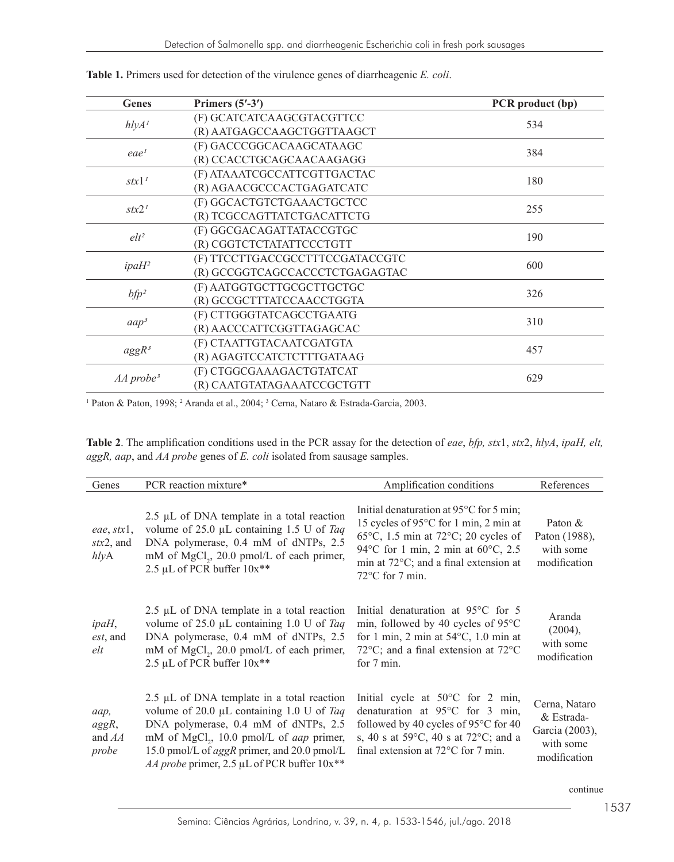| Genes                   | Primers $(5'$ -3')              | PCR product (bp) |  |  |
|-------------------------|---------------------------------|------------------|--|--|
| hlyA <sup>T</sup>       | (F) GCATCATCAAGCGTACGTTCC       | 534              |  |  |
|                         | (R) AATGAGCCAAGCTGGTTAAGCT      |                  |  |  |
|                         | (F) GACCCGGCACAAGCATAAGC        | 384              |  |  |
| eae <sup>1</sup>        | (R) CCACCTGCAGCAACAAGAGG        |                  |  |  |
|                         | (F) ATAAATCGCCATTCGTTGACTAC     | 180              |  |  |
| stx1'                   | (R) AGAACGCCCACTGAGATCATC       |                  |  |  |
| stx2 <sup>1</sup>       | (F) GGCACTGTCTGAAACTGCTCC       | 255              |  |  |
|                         | (R) TCGCCAGTTATCTGACATTCTG      |                  |  |  |
| $elt^2$                 | (F) GGCGACAGATTATACCGTGC        | 190              |  |  |
|                         | (R) CGGTCTCTATATTCCCTGTT        |                  |  |  |
|                         | (F) TTCCTTGACCGCCTTTCCGATACCGTC | 600              |  |  |
| $ipaH^2$                | (R) GCCGGTCAGCCACCCTCTGAGAGTAC  |                  |  |  |
|                         | (F) AATGGTGCTTGCGCTTGCTGC       | 326              |  |  |
| $bfp^2$                 | (R) GCCGCTTTATCCAACCTGGTA       |                  |  |  |
|                         | (F) CTTGGGTATCAGCCTGAATG        |                  |  |  |
| aap <sup>3</sup>        | (R) AACCCATTCGGTTAGAGCAC        | 310              |  |  |
|                         | (F) CTAATTGTACAATCGATGTA        |                  |  |  |
| $aggR^3$                | (R) AGAGTCCATCTCTTTGATAAG       | 457              |  |  |
|                         | (F) CTGGCGAAAGACTGTATCAT        |                  |  |  |
| $AA$ probe <sup>3</sup> | (R) CAATGTATAGAAATCCGCTGTT      | 629              |  |  |

**Table 1.** Primers used for detection of the virulence genes of diarrheagenic *E. coli*.

<sup>1</sup> Paton & Paton, 1998; <sup>2</sup> Aranda et al., 2004; <sup>3</sup> Cerna, Nataro & Estrada-Garcia, 2003.

| <b>Table 2</b> . The amplification conditions used in the PCR assay for the detection of eae, $bfp$ , stx1, stx2, hlyA, ipaH, elt, |  |  |  |  |
|------------------------------------------------------------------------------------------------------------------------------------|--|--|--|--|
| aggR, aap, and AA probe genes of E. coli isolated from sausage samples.                                                            |  |  |  |  |

| Genes                                             | PCR reaction mixture*                                                                                                                                                                                                                                                                                  | Amplification conditions                                                                                                                                                                                                                                                                   | References                                                                 |
|---------------------------------------------------|--------------------------------------------------------------------------------------------------------------------------------------------------------------------------------------------------------------------------------------------------------------------------------------------------------|--------------------------------------------------------------------------------------------------------------------------------------------------------------------------------------------------------------------------------------------------------------------------------------------|----------------------------------------------------------------------------|
| eae, $stx1$ ,<br>$\textit{stx2}$ , and<br>h l y A | 2.5 $\mu$ L of DNA template in a total reaction<br>volume of 25.0 $\mu$ L containing 1.5 U of Taq<br>DNA polymerase, 0.4 mM of dNTPs, 2.5<br>mM of MgCl <sub>2</sub> , 20.0 pmol/L of each primer,<br>2.5 µL of PCR buffer 10x**                                                                       | Initial denaturation at 95 <sup>o</sup> C for 5 min;<br>15 cycles of 95°C for 1 min, 2 min at<br>$65^{\circ}$ C, 1.5 min at 72 $^{\circ}$ C; 20 cycles of<br>94 °C for 1 min, 2 min at $60^{\circ}$ C, 2.5<br>min at $72^{\circ}$ C; and a final extension at<br>$72^{\circ}$ C for 7 min. | Paton $\&$<br>Paton (1988),<br>with some<br>modification                   |
| ipaH,<br><i>est</i> , and<br>elt                  | $2.5 \mu L$ of DNA template in a total reaction<br>volume of 25.0 $\mu$ L containing 1.0 U of Taq<br>DNA polymerase, 0.4 mM of dNTPs, 2.5<br>mM of MgCl <sub>2</sub> , 20.0 pmol/L of each primer,<br>2.5 µL of PCR buffer 10x**                                                                       | Initial denaturation at $95^{\circ}$ C for 5<br>min, followed by 40 cycles of $95^{\circ}$ C<br>for 1 min, 2 min at $54^{\circ}$ C, 1.0 min at<br>72 $\degree$ C; and a final extension at 72 $\degree$ C<br>for $7 \text{ min}$ .                                                         | Aranda<br>(2004),<br>with some<br>modification                             |
| aap,<br>$aggR$ ,<br>and $AA$<br>probe             | 2.5 $\mu$ L of DNA template in a total reaction<br>volume of 20.0 $\mu$ L containing 1.0 U of Taq<br>DNA polymerase, 0.4 mM of dNTPs, 2.5<br>mM of MgCl <sub>2</sub> , 10.0 pmol/L of <i>aap</i> primer,<br>15.0 pmol/L of aggR primer, and 20.0 pmol/L<br>AA probe primer, 2.5 µL of PCR buffer 10x** | Initial cycle at $50^{\circ}$ C for 2 min,<br>denaturation at $95^{\circ}$ C for 3 min,<br>followed by 40 cycles of 95°C for 40<br>s, 40 s at 59 $^{\circ}$ C, 40 s at 72 $^{\circ}$ C; and a<br>final extension at $72^{\circ}$ C for 7 min.                                              | Cerna, Nataro<br>& Estrada-<br>Garcia (2003),<br>with some<br>modification |

continue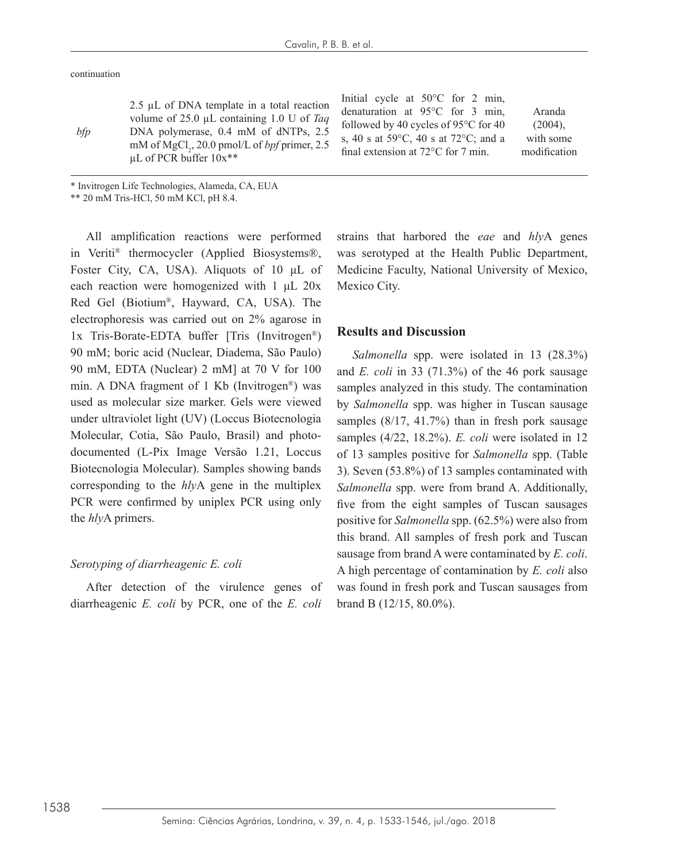continuation

| bfp | $2.5 \mu L$ of DNA template in a total reaction<br>volume of 25.0 $\mu$ L containing 1.0 U of Taq<br>DNA polymerase, 0.4 mM of dNTPs, 2.5<br>mM of MgCl <sub>2</sub> , 20.0 pmol/L of <i>bpf</i> primer, 2.5<br>$\mu$ L of PCR buffer $10x**$ | Initial cycle at $50^{\circ}$ C for 2 min,<br>denaturation at $95^{\circ}$ C for 3 min.<br>followed by 40 cycles of 95 $\degree$ C for 40<br>s, 40 s at 59 $^{\circ}$ C, 40 s at 72 $^{\circ}$ C; and a<br>final extension at $72^{\circ}$ C for 7 min. | Aranda<br>$(2004)$ .<br>with some<br>modification |
|-----|-----------------------------------------------------------------------------------------------------------------------------------------------------------------------------------------------------------------------------------------------|---------------------------------------------------------------------------------------------------------------------------------------------------------------------------------------------------------------------------------------------------------|---------------------------------------------------|
|-----|-----------------------------------------------------------------------------------------------------------------------------------------------------------------------------------------------------------------------------------------------|---------------------------------------------------------------------------------------------------------------------------------------------------------------------------------------------------------------------------------------------------------|---------------------------------------------------|

\* Invitrogen Life Technologies, Alameda, CA, EUA

\*\* 20 mM Tris-HCl, 50 mM KCl, pH 8.4.

All amplification reactions were performed in Veriti® thermocycler (Applied Biosystems®, Foster City, CA, USA). Aliquots of 10 μL of each reaction were homogenized with 1 μL 20x Red Gel (Biotium®, Hayward, CA, USA). The electrophoresis was carried out on 2% agarose in 1x Tris-Borate-EDTA buffer [Tris (Invitrogen®) 90 mM; boric acid (Nuclear, Diadema, São Paulo) 90 mM, EDTA (Nuclear) 2 mM] at 70 V for 100 min. A DNA fragment of 1 Kb (Invitrogen®) was used as molecular size marker. Gels were viewed under ultraviolet light (UV) (Loccus Biotecnologia Molecular, Cotia, São Paulo, Brasil) and photodocumented (L-Pix Image Versão 1.21, Loccus Biotecnologia Molecular). Samples showing bands corresponding to the *hly*A gene in the multiplex PCR were confirmed by uniplex PCR using only the *hly*A primers.

#### *Serotyping of diarrheagenic E. coli*

After detection of the virulence genes of diarrheagenic *E. coli* by PCR, one of the *E. coli*

strains that harbored the *eae* and *hly*A genes was serotyped at the Health Public Department, Medicine Faculty, National University of Mexico, Mexico City.

#### **Results and Discussion**

*Salmonella* spp. were isolated in 13 (28.3%) and *E. coli* in 33 (71.3%) of the 46 pork sausage samples analyzed in this study. The contamination by *Salmonella* spp. was higher in Tuscan sausage samples (8/17, 41.7%) than in fresh pork sausage samples (4/22, 18.2%). *E. coli* were isolated in 12 of 13 samples positive for *Salmonella* spp. (Table 3). Seven (53.8%) of 13 samples contaminated with *Salmonella* spp. were from brand A. Additionally, five from the eight samples of Tuscan sausages positive for *Salmonella* spp. (62.5%) were also from this brand. All samples of fresh pork and Tuscan sausage from brand A were contaminated by *E. coli*. A high percentage of contamination by *E. coli* also was found in fresh pork and Tuscan sausages from brand B (12/15, 80.0%).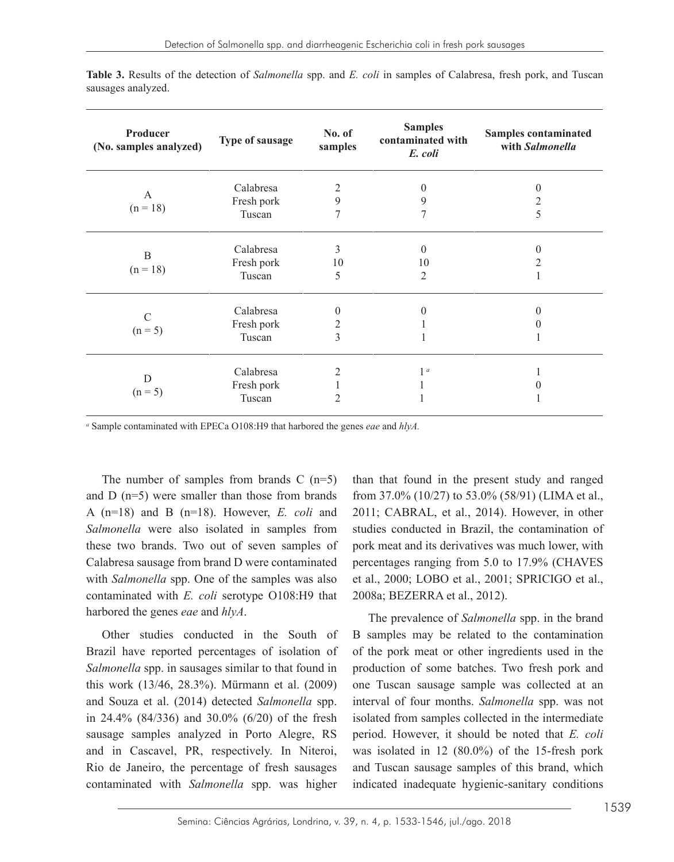| Producer<br>(No. samples analyzed) | Type of sausage                   | No. of<br>samples                | <b>Samples</b><br>contaminated with<br>E. coli | Samples contaminated<br>with Salmonella |
|------------------------------------|-----------------------------------|----------------------------------|------------------------------------------------|-----------------------------------------|
| A<br>$(n = 18)$                    | Calabresa<br>Fresh pork<br>Tuscan | 2<br>9<br>7                      | $\theta$<br>9                                  | $\theta$<br>2<br>5                      |
| B<br>$(n = 18)$                    | Calabresa<br>Fresh pork<br>Tuscan | 3<br>10<br>5                     | $\Omega$<br>10<br>$\overline{2}$               | $\theta$<br>2                           |
| C<br>$(n = 5)$                     | Calabresa<br>Fresh pork<br>Tuscan | $\theta$<br>2<br>3               | $\Omega$                                       | $\theta$                                |
| D<br>$(n = 5)$                     | Calabresa<br>Fresh pork<br>Tuscan | $\overline{2}$<br>$\overline{c}$ | 1 <sup>a</sup>                                 |                                         |

**Table 3.** Results of the detection of *Salmonella* spp. and *E. coli* in samples of Calabresa, fresh pork, and Tuscan sausages analyzed.

*a* Sample contaminated with EPECa O108:H9 that harbored the genes *eae* and *hlyA.*

The number of samples from brands  $C$  (n=5) and D (n=5) were smaller than those from brands A (n=18) and B (n=18). However, *E. coli* and *Salmonella* were also isolated in samples from these two brands. Two out of seven samples of Calabresa sausage from brand D were contaminated with *Salmonella* spp. One of the samples was also contaminated with *E. coli* serotype O108:H9 that harbored the genes *eae* and *hlyA*.

Other studies conducted in the South of Brazil have reported percentages of isolation of *Salmonella* spp. in sausages similar to that found in this work (13/46, 28.3%). Mürmann et al. (2009) and Souza et al. (2014) detected *Salmonella* spp. in 24.4% (84/336) and 30.0% (6/20) of the fresh sausage samples analyzed in Porto Alegre, RS and in Cascavel, PR, respectively. In Niteroi, Rio de Janeiro, the percentage of fresh sausages contaminated with *Salmonella* spp. was higher

than that found in the present study and ranged from 37.0% (10/27) to 53.0% (58/91) (LIMA et al., 2011; CABRAL, et al., 2014). However, in other studies conducted in Brazil, the contamination of pork meat and its derivatives was much lower, with percentages ranging from 5.0 to 17.9% (CHAVES et al., 2000; LOBO et al., 2001; SPRICIGO et al., 2008a; BEZERRA et al., 2012).

The prevalence of *Salmonella* spp. in the brand B samples may be related to the contamination of the pork meat or other ingredients used in the production of some batches. Two fresh pork and one Tuscan sausage sample was collected at an interval of four months. *Salmonella* spp. was not isolated from samples collected in the intermediate period. However, it should be noted that *E. coli* was isolated in 12 (80.0%) of the 15-fresh pork and Tuscan sausage samples of this brand, which indicated inadequate hygienic-sanitary conditions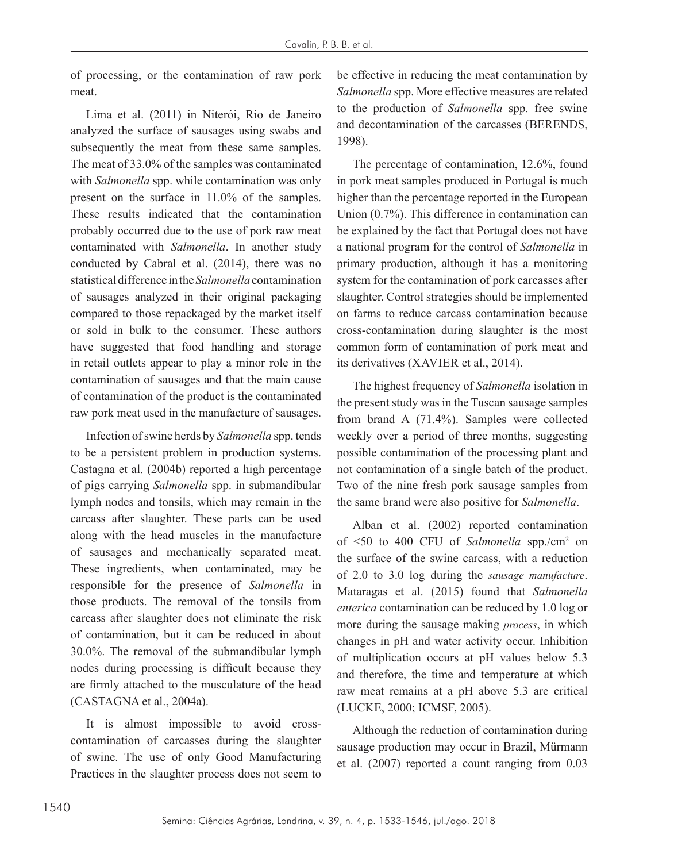of processing, or the contamination of raw pork meat.

Lima et al. (2011) in Niterói, Rio de Janeiro analyzed the surface of sausages using swabs and subsequently the meat from these same samples. The meat of 33.0% of the samples was contaminated with *Salmonella* spp. while contamination was only present on the surface in 11.0% of the samples. These results indicated that the contamination probably occurred due to the use of pork raw meat contaminated with *Salmonella*. In another study conducted by Cabral et al. (2014), there was no statistical difference in the *Salmonella* contamination of sausages analyzed in their original packaging compared to those repackaged by the market itself or sold in bulk to the consumer. These authors have suggested that food handling and storage in retail outlets appear to play a minor role in the contamination of sausages and that the main cause of contamination of the product is the contaminated raw pork meat used in the manufacture of sausages.

Infection of swine herds by *Salmonella* spp. tends to be a persistent problem in production systems. Castagna et al. (2004b) reported a high percentage of pigs carrying *Salmonella* spp. in submandibular lymph nodes and tonsils, which may remain in the carcass after slaughter. These parts can be used along with the head muscles in the manufacture of sausages and mechanically separated meat. These ingredients, when contaminated, may be responsible for the presence of *Salmonella* in those products. The removal of the tonsils from carcass after slaughter does not eliminate the risk of contamination, but it can be reduced in about 30.0%. The removal of the submandibular lymph nodes during processing is difficult because they are firmly attached to the musculature of the head (CASTAGNA et al., 2004a).

It is almost impossible to avoid crosscontamination of carcasses during the slaughter of swine. The use of only Good Manufacturing Practices in the slaughter process does not seem to be effective in reducing the meat contamination by *Salmonella* spp. More effective measures are related to the production of *Salmonella* spp. free swine and decontamination of the carcasses (BERENDS, 1998).

The percentage of contamination, 12.6%, found in pork meat samples produced in Portugal is much higher than the percentage reported in the European Union (0.7%). This difference in contamination can be explained by the fact that Portugal does not have a national program for the control of *Salmonella* in primary production, although it has a monitoring system for the contamination of pork carcasses after slaughter. Control strategies should be implemented on farms to reduce carcass contamination because cross-contamination during slaughter is the most common form of contamination of pork meat and its derivatives (XAVIER et al., 2014).

The highest frequency of *Salmonella* isolation in the present study was in the Tuscan sausage samples from brand A (71.4%). Samples were collected weekly over a period of three months, suggesting possible contamination of the processing plant and not contamination of a single batch of the product. Two of the nine fresh pork sausage samples from the same brand were also positive for *Salmonella*.

Alban et al. (2002) reported contamination of <50 to 400 CFU of *Salmonella* spp./cm2 on the surface of the swine carcass, with a reduction of 2.0 to 3.0 log during the *sausage manufacture*. Mataragas et al. (2015) found that *Salmonella enterica* contamination can be reduced by 1.0 log or more during the sausage making *process*, in which changes in pH and water activity occur. Inhibition of multiplication occurs at pH values below 5.3 and therefore, the time and temperature at which raw meat remains at a pH above 5.3 are critical (LUCKE, 2000; ICMSF, 2005).

Although the reduction of contamination during sausage production may occur in Brazil, Mürmann et al. (2007) reported a count ranging from 0.03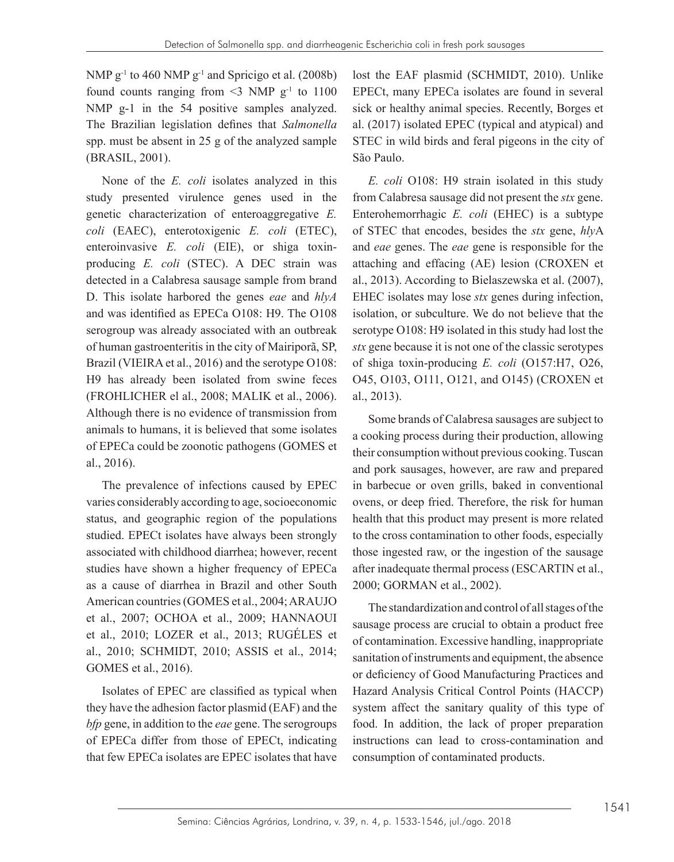NMP  $g^{-1}$  to 460 NMP  $g^{-1}$  and Spricigo et al. (2008b) found counts ranging from  $\leq$ 3 NMP g<sup>-1</sup> to 1100 NMP g-1 in the 54 positive samples analyzed. The Brazilian legislation defines that *Salmonella* spp. must be absent in 25 g of the analyzed sample (BRASIL, 2001).

None of the *E. coli* isolates analyzed in this study presented virulence genes used in the genetic characterization of enteroaggregative *E. coli* (EAEC), enterotoxigenic *E. coli* (ETEC), enteroinvasive *E. coli* (EIE), or shiga toxinproducing *E. coli* (STEC). A DEC strain was detected in a Calabresa sausage sample from brand D. This isolate harbored the genes *eae* and *hlyA* and was identified as EPECa O108: H9. The O108 serogroup was already associated with an outbreak of human gastroenteritis in the city of Mairiporã, SP, Brazil (VIEIRA et al., 2016) and the serotype O108: H9 has already been isolated from swine feces (FROHLICHER el al., 2008; MALIK et al., 2006). Although there is no evidence of transmission from animals to humans, it is believed that some isolates of EPECa could be zoonotic pathogens (GOMES et al., 2016).

The prevalence of infections caused by EPEC varies considerably according to age, socioeconomic status, and geographic region of the populations studied. EPECt isolates have always been strongly associated with childhood diarrhea; however, recent studies have shown a higher frequency of EPECa as a cause of diarrhea in Brazil and other South American countries (GOMES et al., 2004; ARAUJO et al., 2007; OCHOA et al., 2009; HANNAOUI et al., 2010; LOZER et al., 2013; RUGÉLES et al., 2010; SCHMIDT, 2010; ASSIS et al., 2014; GOMES et al., 2016).

Isolates of EPEC are classified as typical when they have the adhesion factor plasmid (EAF) and the *bfp* gene, in addition to the *eae* gene. The serogroups of EPECa differ from those of EPECt, indicating that few EPECa isolates are EPEC isolates that have

lost the EAF plasmid (SCHMIDT, 2010). Unlike EPECt, many EPECa isolates are found in several sick or healthy animal species. Recently, Borges et al. (2017) isolated EPEC (typical and atypical) and STEC in wild birds and feral pigeons in the city of São Paulo.

*E. coli* O108: H9 strain isolated in this study from Calabresa sausage did not present the *stx* gene. Enterohemorrhagic *E. coli* (EHEC) is a subtype of STEC that encodes, besides the *stx* gene, *hly*A and *eae* genes. The *eae* gene is responsible for the attaching and effacing (AE) lesion (CROXEN et al., 2013). According to Bielaszewska et al. (2007), EHEC isolates may lose *stx* genes during infection, isolation, or subculture. We do not believe that the serotype O108: H9 isolated in this study had lost the *stx* gene because it is not one of the classic serotypes of shiga toxin-producing *E. coli* (O157:H7, O26, O45, O103, O111, O121, and O145) (CROXEN et al., 2013).

Some brands of Calabresa sausages are subject to a cooking process during their production, allowing their consumption without previous cooking. Tuscan and pork sausages, however, are raw and prepared in barbecue or oven grills, baked in conventional ovens, or deep fried. Therefore, the risk for human health that this product may present is more related to the cross contamination to other foods, especially those ingested raw, or the ingestion of the sausage after inadequate thermal process (ESCARTIN et al., 2000; GORMAN et al., 2002).

The standardization and control of all stages of the sausage process are crucial to obtain a product free of contamination. Excessive handling, inappropriate sanitation of instruments and equipment, the absence or deficiency of Good Manufacturing Practices and Hazard Analysis Critical Control Points (HACCP) system affect the sanitary quality of this type of food. In addition, the lack of proper preparation instructions can lead to cross-contamination and consumption of contaminated products.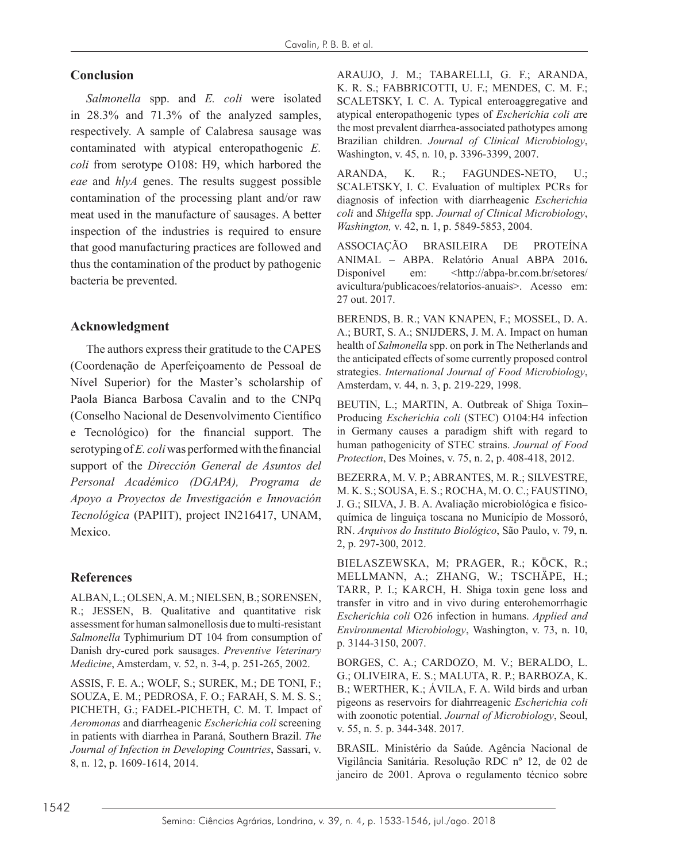## **Conclusion**

*Salmonella* spp. and *E. coli* were isolated in 28.3% and 71.3% of the analyzed samples, respectively. A sample of Calabresa sausage was contaminated with atypical enteropathogenic *E. coli* from serotype O108: H9, which harbored the *eae* and *hlyA* genes. The results suggest possible contamination of the processing plant and/or raw meat used in the manufacture of sausages. A better inspection of the industries is required to ensure that good manufacturing practices are followed and thus the contamination of the product by pathogenic bacteria be prevented.

## **Acknowledgment**

The authors express their gratitude to the CAPES (Coordenação de Aperfeiçoamento de Pessoal de Nível Superior) for the Master's scholarship of Paola Bianca Barbosa Cavalin and to the CNPq (Conselho Nacional de Desenvolvimento Científico e Tecnológico) for the financial support. The serotyping of *E. coli* was performed with the financial support of the *Dirección General de Asuntos del Personal Académico (DGAPA), Programa de Apoyo a Proyectos de Investigación e Innovación Tecnológica* (PAPIIT), project IN216417, UNAM, Mexico.

## **References**

ALBAN, L.; OLSEN, A. M.; NIELSEN, B.; SORENSEN, R.; JESSEN, B. Qualitative and quantitative risk assessment for human salmonellosis due to multi-resistant *Salmonella* Typhimurium DT 104 from consumption of Danish dry-cured pork sausages. *Preventive Veterinary Medicine*, Amsterdam, v. 52, n. 3-4, p. 251-265, 2002.

ASSIS, F. E. A.; WOLF, S.; SUREK, M.; DE TONI, F.; SOUZA, E. M.; PEDROSA, F. O.; FARAH, S. M. S. S.; PICHETH, G.; FADEL-PICHETH, C. M. T. Impact of *Aeromonas* and diarrheagenic *Escherichia coli* screening in patients with diarrhea in Paraná, Southern Brazil. *The Journal of Infection in Developing Countries*, Sassari, v. 8, n. 12, p. 1609-1614, 2014.

ARAUJO, J. M.; TABARELLI, G. F.; ARANDA, K. R. S.; FABBRICOTTI, U. F.; MENDES, C. M. F.; SCALETSKY, I. C. A. Typical enteroaggregative and atypical enteropathogenic types of *Escherichia coli a*re the most prevalent diarrhea-associated pathotypes among Brazilian children. *Journal of Clinical Microbiology*, Washington, v. 45, n. 10, p. 3396-3399, 2007.

ARANDA, K. R.; FAGUNDES-NETO, U.; SCALETSKY, I. C. Evaluation of multiplex PCRs for diagnosis of infection with diarrheagenic *Escherichia coli* and *Shigella* spp. *Journal of Clinical Microbiology*, *Washington,* v. 42, n. 1, p. 5849-5853, 2004.

ASSOCIAÇÃO BRASILEIRA DE PROTEÍNA ANIMAL – ABPA. Relatório Anual ABPA 2016**.** Disponível em: <http://abpa-br.com.br/setores/ avicultura/publicacoes/relatorios-anuais>. Acesso em: 27 out. 2017.

BERENDS, B. R.; VAN KNAPEN, F.; MOSSEL, D. A. A.; BURT, S. A.; SNIJDERS, J. M. A. Impact on human health of *Salmonella* spp. on pork in The Netherlands and the anticipated effects of some currently proposed control strategies. *International Journal of Food Microbiology*, Amsterdam, v. 44, n. 3, p. 219-229, 1998.

BEUTIN, L.; MARTIN, A. Outbreak of Shiga Toxin– Producing *Escherichia coli* (STEC) O104:H4 infection in Germany causes a paradigm shift with regard to human pathogenicity of STEC strains. *Journal of Food Protection*, Des Moines, v. 75, n. 2, p. 408-418, 2012.

BEZERRA, M. V. P.; ABRANTES, M. R.; SILVESTRE, M. K. S.; SOUSA, E. S.; ROCHA, M. O. C.; FAUSTINO, J. G.; SILVA, J. B. A. Avaliação microbiológica e físicoquímica de linguiça toscana no Município de Mossoró, RN. *Arquivos do Instituto Biológico*, São Paulo, v. 79, n. 2, p. 297-300, 2012.

BIELASZEWSKA, M; PRAGER, R.; KÖCK, R.; MELLMANN, A.; ZHANG, W.; TSCHÄPE, H.; TARR, P. I.; KARCH, H. Shiga toxin gene loss and transfer in vitro and in vivo during enterohemorrhagic *Escherichia coli* O26 infection in humans. *Applied and Environmental Microbiology*, Washington, v. 73, n. 10, p. 3144-3150, 2007.

BORGES, C. A.; CARDOZO, M. V.; BERALDO, L. G.; OLIVEIRA, E. S.; MALUTA, R. P.; BARBOZA, K. B.; WERTHER, K.; ÁVILA, F. A. Wild birds and urban pigeons as reservoirs for diahrreagenic *Escherichia coli* with zoonotic potential. *Journal of Microbiology*, Seoul, v. 55, n. 5. p. 344-348. 2017.

BRASIL. Ministério da Saúde. Agência Nacional de Vigilância Sanitária. Resolução RDC nº 12, de 02 de janeiro de 2001. Aprova o regulamento técnico sobre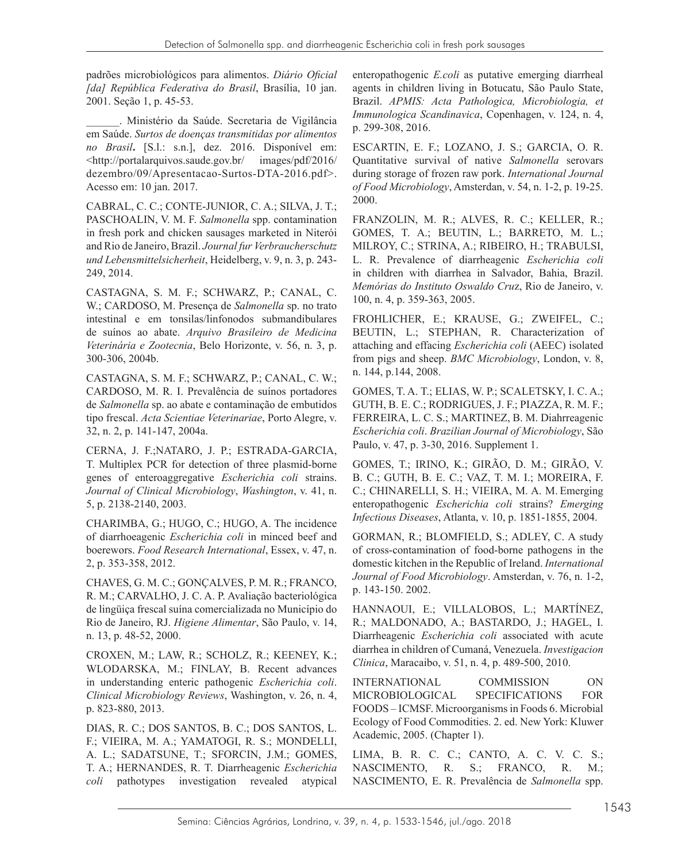padrões microbiológicos para alimentos. *Diário Oficial [da] República Federativa do Brasil*, Brasília, 10 jan. 2001. Seção 1, p. 45-53.

\_\_\_\_\_\_. Ministério da Saúde. Secretaria de Vigilância em Saúde. *Surtos de doenças transmitidas por alimentos no Brasil***.** [S.l.: s.n.], dez. 2016. Disponível em: <http://portalarquivos.saude.gov.br/ images/pdf/2016/ dezembro/09/Apresentacao-Surtos-DTA-2016.pdf>. Acesso em: 10 jan. 2017.

CABRAL, C. C.; CONTE-JUNIOR, C. A.; SILVA, J. T.; PASCHOALIN, V. M. F. *Salmonella* spp. contamination in fresh pork and chicken sausages marketed in Niterói and Rio de Janeiro, Brazil. *Journal fur Verbraucherschutz und Lebensmittelsicherheit*, Heidelberg, v. 9, n. 3, p. 243- 249, 2014.

CASTAGNA, S. M. F.; SCHWARZ, P.; CANAL, C. W.; CARDOSO, M. Presença de *Salmonella* sp. no trato intestinal e em tonsilas/linfonodos submandibulares de suínos ao abate. *Arquivo Brasileiro de Medicina Veterinária e Zootecnia*, Belo Horizonte, v. 56, n. 3, p. 300-306, 2004b.

CASTAGNA, S. M. F.; SCHWARZ, P.; CANAL, C. W.; CARDOSO, M. R. I. Prevalência de suínos portadores de *Salmonella* sp. ao abate e contaminação de embutidos tipo frescal. *Acta Scientiae Veterinariae*, Porto Alegre, v. 32, n. 2, p. 141-147, 2004a.

CERNA, J. F.;NATARO, J. P.; ESTRADA-GARCIA, T. Multiplex PCR for detection of three plasmid-borne genes of enteroaggregative *Escherichia coli* strains. *Journal of Clinical Microbiology*, *Washington*, v. 41, n. 5, p. 2138-2140, 2003.

CHARIMBA, G.; HUGO, C.; HUGO, A. The incidence of diarrhoeagenic *Escherichia coli* in minced beef and boerewors. *Food Research International*, Essex, v. 47, n. 2, p. 353-358, 2012.

CHAVES, G. M. C.; GONÇALVES, P. M. R.; FRANCO, R. M.; CARVALHO, J. C. A. P. Avaliação bacteriológica de lingüiça frescal suína comercializada no Município do Rio de Janeiro, RJ. *Higiene Alimentar*, São Paulo, v. 14, n. 13, p. 48-52, 2000.

CROXEN, M.; LAW, R.; SCHOLZ, R.; KEENEY, K.; WLODARSKA, M.; FINLAY, B. Recent advances in understanding enteric pathogenic *Escherichia coli*. *Clinical Microbiology Reviews*, Washington, v. 26, n. 4, p. 823-880, 2013.

DIAS, R. C.; DOS SANTOS, B. C.; DOS SANTOS, L. F.; VIEIRA, M. A.; YAMATOGI, R. S.; MONDELLI, A. L.; SADATSUNE, T.; SFORCIN, J.M.; GOMES, T. A.; HERNANDES, R. T. Diarrheagenic *Escherichia coli* pathotypes investigation revealed atypical

enteropathogenic *E.coli* as putative emerging diarrheal agents in children living in Botucatu, São Paulo State, Brazil. *APMIS: Acta Pathologica, Microbiologia, et Immunologica Scandinavica*, Copenhagen, v. 124, n. 4, p. 299-308, 2016.

ESCARTIN, E. F.; LOZANO, J. S.; GARCIA, O. R. Quantitative survival of native *Salmonella* serovars during storage of frozen raw pork. *International Journal of Food Microbiology*, Amsterdan, v. 54, n. 1-2, p. 19-25. 2000.

FRANZOLIN, M. R.; ALVES, R. C.; KELLER, R.; GOMES, T. A.; BEUTIN, L.; BARRETO, M. L.; MILROY, C.; STRINA, A.; RIBEIRO, H.; TRABULSI, L. R. Prevalence of diarrheagenic *Escherichia coli* in children with diarrhea in Salvador, Bahia, Brazil. *Memórias do Instituto Oswaldo Cru*z, Rio de Janeiro, v. 100, n. 4, p. 359-363, 2005.

FROHLICHER, E.; KRAUSE, G.; ZWEIFEL, C.; BEUTIN, L.; STEPHAN, R. Characterization of attaching and effacing *Escherichia coli* (AEEC) isolated from pigs and sheep. *BMC Microbiology*, London, v. 8, n. 144, p.144, 2008.

GOMES, T. A. T.; ELIAS, W. P.; SCALETSKY, I. C. A.; GUTH, B. E. C.; RODRIGUES, J. F.; PIAZZA, R. M. F.; FERREIRA, L. C. S.; MARTINEZ, B. M. Diahrreagenic *Escherichia coli*. *Brazilian Journal of Microbiology*, São Paulo, v. 47, p. 3-30, 2016. Supplement 1.

GOMES, T.; IRINO, K.; GIRÃO, D. M.; GIRÃO, V. B. C.; GUTH, B. E. C.; VAZ, T. M. I.; MOREIRA, F. C.; CHINARELLI, S. H.; VIEIRA, M. A. M. Emerging enteropathogenic *Escherichia coli* strains? *Emerging Infectious Diseases*, Atlanta, v. 10, p. 1851-1855, 2004.

GORMAN, R.; BLOMFIELD, S.; ADLEY, C. A study of cross-contamination of food-borne pathogens in the domestic kitchen in the Republic of Ireland. *International Journal of Food Microbiology*. Amsterdan, v. 76, n. 1-2, p. 143-150. 2002.

HANNAOUI, E.; VILLALOBOS, L.; MARTÍNEZ, R.; MALDONADO, A.; BASTARDO, J.; HAGEL, I. Diarrheagenic *Escherichia coli* associated with acute diarrhea in children of Cumaná, Venezuela. *Investigacion Clinica*, Maracaibo, v. 51, n. 4, p. 489-500, 2010.

INTERNATIONAL COMMISSION ON MICROBIOLOGICAL SPECIFICATIONS FOR FOODS – ICMSF. Microorganisms in Foods 6. Microbial Ecology of Food Commodities. 2. ed. New York: Kluwer Academic, 2005. (Chapter 1).

LIMA, B. R. C. C.; CANTO, A. C. V. C. S.; NASCIMENTO, R. S.; FRANCO, R. M.; NASCIMENTO, E. R. Prevalência de *Salmonella* spp.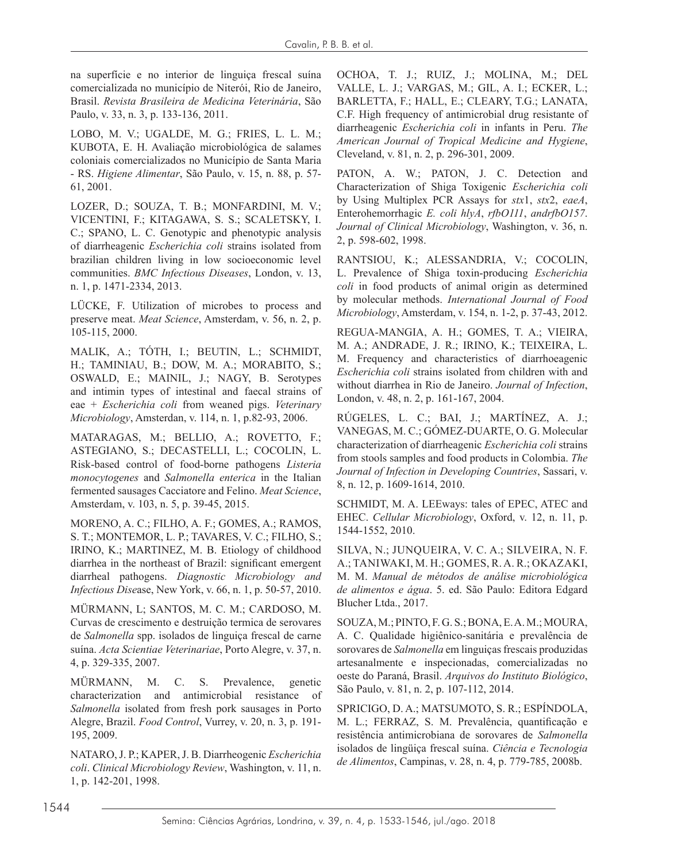na superfície e no interior de linguiça frescal suína comercializada no município de Niterói, Rio de Janeiro, Brasil. *Revista Brasileira de Medicina Veterinária*, São Paulo, v. 33, n. 3, p. 133-136, 2011.

LOBO, M. V.; UGALDE, M. G.; FRIES, L. L. M.; KUBOTA, E. H. Avaliação microbiológica de salames coloniais comercializados no Município de Santa Maria - RS. *Higiene Alimentar*, São Paulo, v. 15, n. 88, p. 57- 61, 2001.

LOZER, D.; SOUZA, T. B.; MONFARDINI, M. V.; VICENTINI, F.; KITAGAWA, S. S.; SCALETSKY, I. C.; SPANO, L. C. Genotypic and phenotypic analysis of diarrheagenic *Escherichia coli* strains isolated from brazilian children living in low socioeconomic level communities. *BMC Infectious Diseases*, London, v. 13, n. 1, p. 1471-2334, 2013.

LÜCKE, F. Utilization of microbes to process and preserve meat. *Meat Science*, Amsterdam, v. 56, n. 2, p. 105-115, 2000.

MALIK, A.; TÓTH, I.; BEUTIN, L.; SCHMIDT, H.; TAMINIAU, B.; DOW, M. A.; MORABITO, S.; OSWALD, E.; MAINIL, J.; NAGY, B. Serotypes and intimin types of intestinal and faecal strains of eae + *Escherichia coli* from weaned pigs. *Veterinary Microbiology*, Amsterdan, v. 114, n. 1, p.82-93, 2006.

MATARAGAS, M.; BELLIO, A.; ROVETTO, F.; ASTEGIANO, S.; DECASTELLI, L.; COCOLIN, L. Risk-based control of food-borne pathogens *Listeria monocytogenes* and *Salmonella enterica* in the Italian fermented sausages Cacciatore and Felino. *Meat Science*, Amsterdam, v. 103, n. 5, p. 39-45, 2015.

MORENO, A. C.; FILHO, A. F.; GOMES, A.; RAMOS, S. T.; MONTEMOR, L. P.; TAVARES, V. C.; FILHO, S.; IRINO, K.; MARTINEZ, M. B. Etiology of childhood diarrhea in the northeast of Brazil: significant emergent diarrheal pathogens. *Diagnostic Microbiology and Infectious Dise*ase, New York, v. 66, n. 1, p. 50-57, 2010.

MÜRMANN, L; SANTOS, M. C. M.; CARDOSO, M. Curvas de crescimento e destruição termica de serovares de *Salmonella* spp. isolados de linguiça frescal de carne suína. *Acta Scientiae Veterinariae*, Porto Alegre, v. 37, n. 4, p. 329-335, 2007.

MÜRMANN, M. C. S. Prevalence, genetic characterization and antimicrobial resistance of *Salmonella* isolated from fresh pork sausages in Porto Alegre, Brazil. *Food Control*, Vurrey, v. 20, n. 3, p. 191- 195, 2009.

NATARO, J. P.; KAPER, J. B. Diarrheogenic *Escherichia coli*. *Clinical Microbiology Review*, Washington, v. 11, n. 1, p. 142-201, 1998.

OCHOA, T. J.; RUIZ, J.; MOLINA, M.; DEL VALLE, L. J.; VARGAS, M.; GIL, A. I.; ECKER, L.; BARLETTA, F.; HALL, E.; CLEARY, T.G.; LANATA, C.F. High frequency of antimicrobial drug resistante of diarrheagenic *Escherichia coli* in infants in Peru. *The American Journal of Tropical Medicine and Hygiene*, Cleveland, v. 81, n. 2, p. 296-301, 2009.

PATON, A. W.; PATON, J. C. Detection and Characterization of Shiga Toxigenic *Escherichia coli* by Using Multiplex PCR Assays for *stx*1, *stx*2, *eaeA*, Enterohemorrhagic *E. coli hlyA*, *rfbO111*, *andrfbO157*. *Journal of Clinical Microbiology*, Washington, v. 36, n. 2, p. 598-602, 1998.

RANTSIOU, K.; ALESSANDRIA, V.; COCOLIN, L. Prevalence of Shiga toxin-producing *Escherichia coli* in food products of animal origin as determined by molecular methods. *International Journal of Food Microbiology*, Amsterdam, v. 154, n. 1-2, p. 37-43, 2012.

REGUA-MANGIA, A. H.; GOMES, T. A.; VIEIRA, M. A.; ANDRADE, J. R.; IRINO, K.; TEIXEIRA, L. M. Frequency and characteristics of diarrhoeagenic *Escherichia coli* strains isolated from children with and without diarrhea in Rio de Janeiro. *Journal of Infection*, London, v. 48, n. 2, p. 161-167, 2004.

RÚGELES, L. C.; BAI, J.; MARTÍNEZ, A. J.; VANEGAS, M. C.; GÓMEZ-DUARTE, O. G. Molecular characterization of diarrheagenic *Escherichia coli* strains from stools samples and food products in Colombia. *The Journal of Infection in Developing Countries*, Sassari, v. 8, n. 12, p. 1609-1614, 2010.

SCHMIDT, M. A. LEEways: tales of EPEC, ATEC and EHEC. *Cellular Microbiology*, Oxford, v. 12, n. 11, p. 1544-1552, 2010.

SILVA, N.; JUNQUEIRA, V. C. A.; SILVEIRA, N. F. A.; TANIWAKI, M. H.; GOMES, R. A. R.; OKAZAKI, M. M. *Manual de métodos de análise microbiológica de alimentos e água*. 5. ed. São Paulo: Editora Edgard Blucher Ltda., 2017.

SOUZA, M.; PINTO, F. G. S.; BONA, E. A. M.; MOURA, A. C. Qualidade higiênico-sanitária e prevalência de sorovares de *Salmonella* em linguiças frescais produzidas artesanalmente e inspecionadas, comercializadas no oeste do Paraná, Brasil. *Arquivos do Instituto Biológico*, São Paulo, v. 81, n. 2, p. 107-112, 2014.

SPRICIGO, D. A.; MATSUMOTO, S. R.; ESPÍNDOLA, M. L.; FERRAZ, S. M. Prevalência, quantificação e resistência antimicrobiana de sorovares de *Salmonella* isolados de lingüiça frescal suína. *Ciência e Tecnologia de Alimentos*, Campinas, v. 28, n. 4, p. 779-785, 2008b.